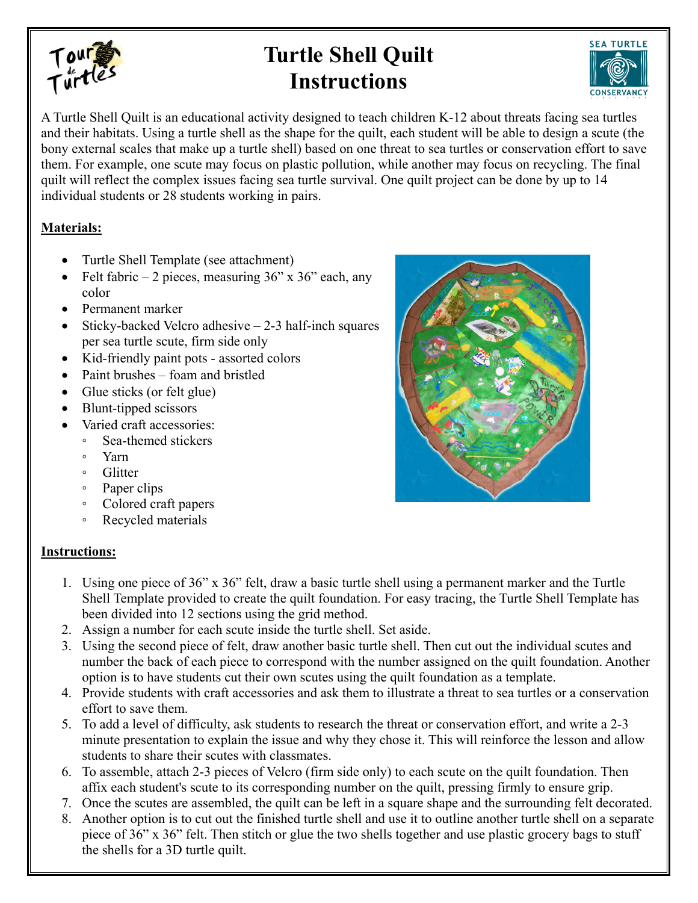

## **Turtle Shell Quilt Instructions**



A Turtle Shell Quilt is an educational activity designed to teach children K-12 about threats facing sea turtles and their habitats. Using a turtle shell as the shape for the quilt, each student will be able to design a scute (the bony external scales that make up a turtle shell) based on one threat to sea turtles or conservation effort to save them. For example, one scute may focus on plastic pollution, while another may focus on recycling. The final quilt will reflect the complex issues facing sea turtle survival. One quilt project can be done by up to 14 individual students or 28 students working in pairs.

## **Materials:**

- Turtle Shell Template (see attachment)
- Felt fabric 2 pieces, measuring  $36$ " x  $36$ " each, any color
- Permanent marker
- Sticky-backed Velcro adhesive  $-2-3$  half-inch squares per sea turtle scute, firm side only
- Kid-friendly paint pots assorted colors
- Paint brushes foam and bristled
- Glue sticks (or felt glue)
- Blunt-tipped scissors
- Varied craft accessories:
	- Sea-themed stickers
		- Yarn
		- Glitter
		- Paper clips
		- Colored craft papers
		- Recycled materials

## **Instructions:**

- 1. Using one piece of 36" x 36" felt, draw a basic turtle shell using a permanent marker and the Turtle Shell Template provided to create the quilt foundation. For easy tracing, the Turtle Shell Template has been divided into 12 sections using the grid method.
- 2. Assign a number for each scute inside the turtle shell. Set aside.
- 3. Using the second piece of felt, draw another basic turtle shell. Then cut out the individual scutes and number the back of each piece to correspond with the number assigned on the quilt foundation. Another option is to have students cut their own scutes using the quilt foundation as a template.
- 4. Provide students with craft accessories and ask them to illustrate a threat to sea turtles or a conservation effort to save them.
- 5. To add a level of difficulty, ask students to research the threat or conservation effort, and write a 2-3 minute presentation to explain the issue and why they chose it. This will reinforce the lesson and allow students to share their scutes with classmates.
- 6. To assemble, attach 2-3 pieces of Velcro (firm side only) to each scute on the quilt foundation. Then affix each student's scute to its corresponding number on the quilt, pressing firmly to ensure grip.
- 7. Once the scutes are assembled, the quilt can be left in a square shape and the surrounding felt decorated.
- 8. Another option is to cut out the finished turtle shell and use it to outline another turtle shell on a separate piece of 36" x 36" felt. Then stitch or glue the two shells together and use plastic grocery bags to stuff the shells for a 3D turtle quilt.